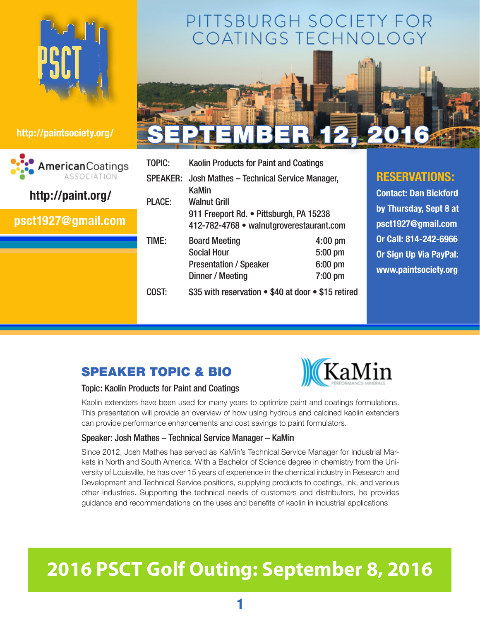

| AmericanCoatings<br>ASSOCIATION<br>http://paint.org/ |  |
|------------------------------------------------------|--|
| psct1927@gmail.com                                   |  |
|                                                      |  |

## PITTSBURGH SOCIETY FOR COATINGS TECHNOLO



| TOPIC:        | <b>Kaolin Products for Paint and Coatings</b>              |           |  |
|---------------|------------------------------------------------------------|-----------|--|
|               | SPEAKER: Josh Mathes - Technical Service Manager,<br>KaMin |           |  |
| <b>PLACE:</b> | <b>Walnut Grill</b>                                        |           |  |
|               | 911 Freeport Rd. • Pittsburgh, PA 15238                    |           |  |
|               | 412-782-4768 • walnutgroverestaurant.com                   |           |  |
| TIME:         | <b>Board Meeting</b>                                       | $4:00$ pm |  |
|               | <b>Social Hour</b>                                         | 5:00 pm   |  |
|               | <b>Presentation / Speaker</b>                              | $6:00$ pm |  |
|               | Dinner / Meeting                                           | 7:00 pm   |  |
| COST:         | \$35 with reservation . \$40 at door . \$15 retired        |           |  |

### **RESERVATIONS:**

**Contact: Dan Bickford by Thursday, Sept 8 at [psct1927@gmail.com](mailto:psct1927@gmail.com) Or Call: 814-242-6966 Or Sign Up Via PayPal: <www.paintsociety.org>**

## Speaker Topic & Bio



#### Topic: Kaolin Products for Paint and Coatings

Kaolin extenders have been used for many years to optimize paint and coatings formulations. This presentation will provide an overview of how using hydrous and calcined kaolin extenders can provide performance enhancements and cost savings to paint formulators.

#### Speaker: Josh Mathes – Technical Service Manager – KaMin

Since 2012, Josh Mathes has served as KaMin's Technical Service Manager for Industrial Markets in North and South America. With a Bachelor of Science degree in chemistry from the University of Louisville, he has over 15 years of experience in the chemical industry in Research and Development and Technical Service positions, supplying products to coatings, ink, and various other industries. Supporting the technical needs of customers and distributors, he provides guidance and recommendations on the uses and benefits of kaolin in industrial applications.

# **2016 PSCT Golf Outing: September 8, 2016**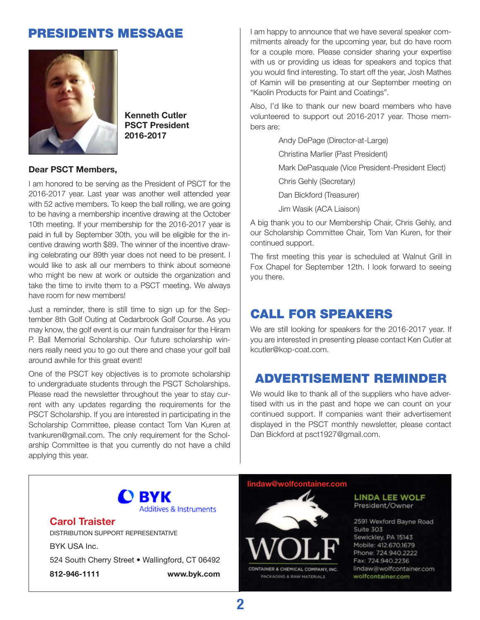### Presidents Message



**Kenneth Cutler PSCT President 2016-2017**

#### **Dear PSCT Members,**

I am honored to be serving as the President of PSCT for the 2016-2017 year. Last year was another well attended year with 52 active members. To keep the ball rolling, we are going to be having a membership incentive drawing at the October 10th meeting. If your membership for the 2016-2017 year is paid in full by September 30th, you will be eligible for the incentive drawing worth \$89. The winner of the incentive drawing celebrating our 89th year does not need to be present. I would like to ask all our members to think about someone who might be new at work or outside the organization and take the time to invite them to a PSCT meeting. We always have room for new members!

Just a reminder, there is still time to sign up for the September 8th Golf Outing at Cedarbrook Golf Course. As you may know, the golf event is our main fundraiser for the Hiram P. Ball Memorial Scholarship. Our future scholarship winners really need you to go out there and chase your golf ball around awhile for this great event!

One of the PSCT key objectives is to promote scholarship to undergraduate students through the PSCT Scholarships. Please read the newsletter throughout the year to stay current with any updates regarding the requirements for the PSCT Scholarship. If you are interested in participating in the Scholarship Committee, please contact Tom Van Kuren at [tvankuren@gmail.com](mailto:tvankuren@gmail.com). The only requirement for the Scholarship Committee is that you currently do not have a child applying this year.

I am happy to announce that we have several speaker commitments already for the upcoming year, but do have room for a couple more. Please consider sharing your expertise with us or providing us ideas for speakers and topics that you would find interesting. To start off the year, Josh Mathes of Kamin will be presenting at our September meeting on "Kaolin Products for Paint and Coatings".

Also, I'd like to thank our new board members who have volunteered to support out 2016-2017 year. Those members are:

> Andy DePage (Director-at-Large) Christina Marlier (Past President) Mark DePasquale (Vice President-President Elect) Chris Gehly (Secretary) Dan Bickford (Treasurer) Jim Wasik (ACA Liaison)

A big thank you to our Membership Chair, Chris Gehly, and our Scholarship Committee Chair, Tom Van Kuren, for their continued support.

The first meeting this year is scheduled at Walnut Grill in Fox Chapel for September 12th. I look forward to seeing you there.

### Call for Speakers

We are still looking for speakers for the 2016-2017 year. If you are interested in presenting please contact Ken Cutler at kcutler[@kop-coat.com.](kop-coat.com)

### Advertisement Reminder

We would like to thank all of the suppliers who have advertised with us in the past and hope we can count on your continued support. If companies want their advertisement displayed in the PSCT monthly newsletter, please contact Dan Bickford at [psct1927@gmail.com.](mailto:psct1927@gamil.com)



#### **Carol Traister**

Distribution Support Representative

BYK USA Inc. 524 South Cherry Street • Wallingford, CT 06492 **812-946-1111 <www.byk.com>**

#### **[lindaw@wolfcontainer.com](mailto:lindaw@wolfcontainer.com)**



#### **LINDA LEE WOLF** President/Owner

2591 Wexford Bayne Road Suite 303 Sewickley, PA 15143 Mobile: 412.670.1679 Phone: 724.940.2222 Fax: 724.940.2236 lindaw@wolfcontainer.com wolfcontainer.com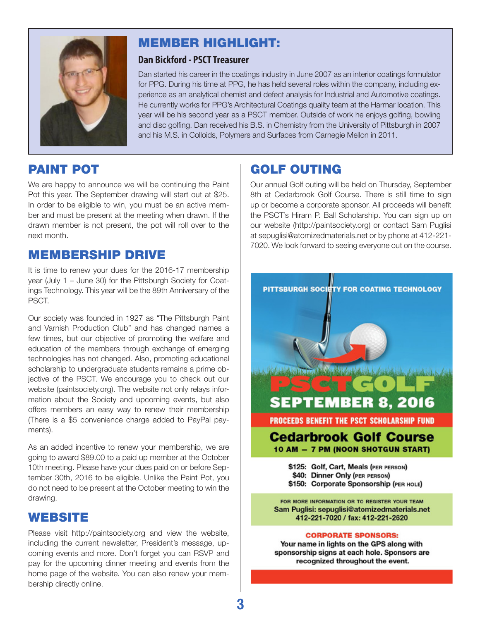

### Member Highlight:

### **Dan Bickford - PSCT Treasurer**

Dan started his career in the coatings industry in June 2007 as an interior coatings formulator for PPG. During his time at PPG, he has held several roles within the company, including experience as an analytical chemist and defect analysis for Industrial and Automotive coatings. He currently works for PPG's Architectural Coatings quality team at the Harmar location. This year will be his second year as a PSCT member. Outside of work he enjoys golfing, bowling and disc golfing. Dan received his B.S. in Chemistry from the University of Pittsburgh in 2007 and his M.S. in Colloids, Polymers and Surfaces from Carnegie Mellon in 2011.

### Paint Pot

We are happy to announce we will be continuing the Paint Pot this year. The September drawing will start out at \$25. In order to be eligible to win, you must be an active member and must be present at the meeting when drawn. If the drawn member is not present, the pot will roll over to the next month.

### Membership Drive

It is time to renew your dues for the 2016-17 membership year (July 1 – June 30) for the Pittsburgh Society for Coatings Technology. This year will be the 89th Anniversary of the PSCT.

Our society was founded in 1927 as "The Pittsburgh Paint and Varnish Production Club" and has changed names a few times, but our objective of promoting the welfare and education of the members through exchange of emerging technologies has not changed. Also, promoting educational scholarship to undergraduate students remains a prime objective of the PSCT. We encourage you to check out our website (<paintsociety.org>). The website not only relays information about the Society and upcoming events, but also offers members an easy way to renew their membership (There is a \$5 convenience charge added to PayPal payments).

As an added incentive to renew your membership, we are going to award \$89.00 to a paid up member at the October 10th meeting. Please have your dues paid on or before September 30th, 2016 to be eligible. Unlike the Paint Pot, you do not need to be present at the October meeting to win the drawing.

### **WEBSITE**

Please visit <http://paintsociety.org>and view the website, including the current newsletter, President's message, upcoming events and more. Don't forget you can RSVP and pay for the upcoming dinner meeting and events from the home page of the website. You can also renew your membership directly online.

### Golf Outing

Our annual Golf outing will be held on Thursday, September 8th at Cedarbrook Golf Course. There is still time to sign up or become a corporate sponsor. All proceeds will benefit the PSCT's Hiram P. Ball Scholarship. You can sign up on our website [\(http://paintsociety.org](http://paintsociety.org)) or contact Sam Puglisi at [sepuglisi@atomizedmaterials.net](mailto:sepuglisi@atomizedmaterials.net) or by phone at 412-221- 7020. We look forward to seeing everyone out on the course.



#### **CORPORATE SPONSORS:**

Your name in lights on the GPS along with sponsorship signs at each hole. Sponsors are recognized throughout the event.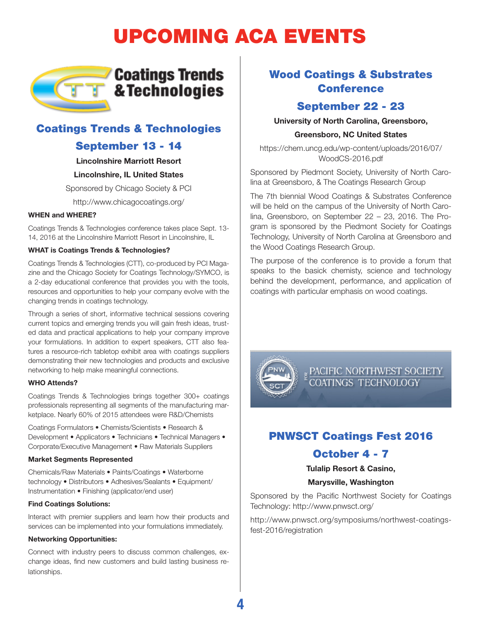# Upcoming ACA Events



### Coatings Trends & Technologies

### September 13 - 14

**Lincolnshire Marriott Resort**

#### **Lincolnshire, IL United States**

Sponsored by Chicago Society & PCI

[http://www.chicagocoatings.org/](http://www.chicagocoatings.org)

#### **WHEN and WHERE?**

Coatings Trends & Technologies conference takes place Sept. 13- 14, 2016 at the Lincolnshire Marriott Resort in Lincolnshire, IL

#### **WHAT is Coatings Trends & Technologies?**

Coatings Trends & Technologies (CTT), co-produced by PCI Magazine and the Chicago Society for Coatings Technology/SYMCO, is a 2-day educational conference that provides you with the tools, resources and opportunities to help your company evolve with the changing trends in coatings technology.

Through a series of short, informative technical sessions covering current topics and emerging trends you will gain fresh ideas, trusted data and practical applications to help your company improve your formulations. In addition to expert speakers, CTT also features a resource-rich tabletop exhibit area with coatings suppliers demonstrating their new technologies and products and exclusive networking to help make meaningful connections.

#### **WHO Attends?**

Coatings Trends & Technologies brings together 300+ coatings professionals representing all segments of the manufacturing marketplace. Nearly 60% of 2015 attendees were R&D/Chemists

Coatings Formulators • Chemists/Scientists • Research & Development • Applicators • Technicians • Technical Managers • Corporate/Executive Management • Raw Materials Suppliers

#### **Market Segments Represented**

Chemicals/Raw Materials • Paints/Coatings • Waterborne technology • Distributors • Adhesives/Sealants • Equipment/ Instrumentation • Finishing (applicator/end user)

#### **Find Coatings Solutions:**

Interact with premier suppliers and learn how their products and services can be implemented into your formulations immediately.

#### **Networking Opportunities:**

Connect with industry peers to discuss common challenges, exchange ideas, find new customers and build lasting business relationships.

### Wood Coatings & Substrates **Conference**

### September 22 - 23

**University of North Carolina, Greensboro,** 

#### **Greensboro, NC United States**

[https://chem.uncg.edu/wp-content/uploads/2016/07/](https://chem.uncg.edu/wp-content/uploads/2016/07/WoodCS-2016.pdf) [WoodCS-2016.pdf](https://chem.uncg.edu/wp-content/uploads/2016/07/WoodCS-2016.pdf)

Sponsored by Piedmont Society, University of North Carolina at Greensboro, & The Coatings Research Group

The 7th biennial Wood Coatings & Substrates Conference will be held on the campus of the University of North Carolina, Greensboro, on September 22 – 23, 2016. The Program is sponsored by the Piedmont Society for Coatings Technology, University of North Carolina at Greensboro and the Wood Coatings Research Group.

The purpose of the conference is to provide a forum that speaks to the basick chemisty, science and technology behind the development, performance, and application of coatings with particular emphasis on wood coatings.



PACIFIC NORTHWEST SOCIETY<br>COATINGS TECHNOLOGY

### PNWSCT Coatings Fest 2016

### October 4 - 7

**Tulalip Resort & Casino,** 

#### **Marysville, Washington**

Sponsored by the Pacific Northwest Society for Coatings Technology: <http://www.pnwsct.org>/

[http://www.pnwsct.org/symposiums/northwest-coatings](http://www.pnwsct.org/symposiums/northwest-coatings-fest-2016/registration)[fest-2016/registration](http://www.pnwsct.org/symposiums/northwest-coatings-fest-2016/registration)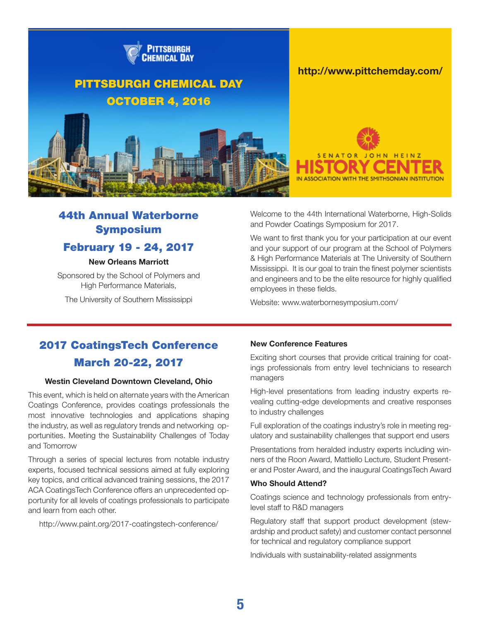

### 44th Annual Waterborne Symposium

### February 19 - 24, 2017

#### **New Orleans Marriott**

Sponsored by the School of Polymers and High Performance Materials,

The University of Southern Mississippi

Welcome to the 44th International Waterborne, High-Solids and Powder Coatings Symposium for 2017.

We want to first thank you for your participation at our event and your support of our program at the School of Polymers & High Performance Materials at The University of Southern Mississippi. It is our goal to train the finest polymer scientists and engineers and to be the elite resource for highly qualified employees in these fields.

Website: [www.waterbornesymposium.com/](www.waterbornesymposium.com)

### 2017 CoatingsTech Conference March 20-22, 2017

#### **Westin Cleveland Downtown Cleveland, Ohio**

This event, which is held on alternate years with the American Coatings Conference, provides coatings professionals the most innovative technologies and applications shaping the industry, as well as regulatory trends and networking opportunities. Meeting the Sustainability Challenges of Today and Tomorrow

Through a series of special lectures from notable industry experts, focused technical sessions aimed at fully exploring key topics, and critical advanced training sessions, the 2017 ACA CoatingsTech Conference offers an unprecedented opportunity for all levels of coatings professionals to participate and learn from each other.

[http://www.paint.org/2017-](http://www.paint.org/2017)coatingstech-conference/

#### **New Conference Features**

Exciting short courses that provide critical training for coatings professionals from entry level technicians to research managers

High-level presentations from leading industry experts revealing cutting-edge developments and creative responses to industry challenges

Full exploration of the coatings industry's role in meeting regulatory and sustainability challenges that support end users

Presentations from heralded industry experts including winners of the Roon Award, Mattiello Lecture, Student Presenter and Poster Award, and the inaugural CoatingsTech Award

#### **Who Should Attend?**

Coatings science and technology professionals from entrylevel staff to R&D managers

Regulatory staff that support product development (stewardship and product safety) and customer contact personnel for technical and regulatory compliance support

Individuals with sustainability-related assignments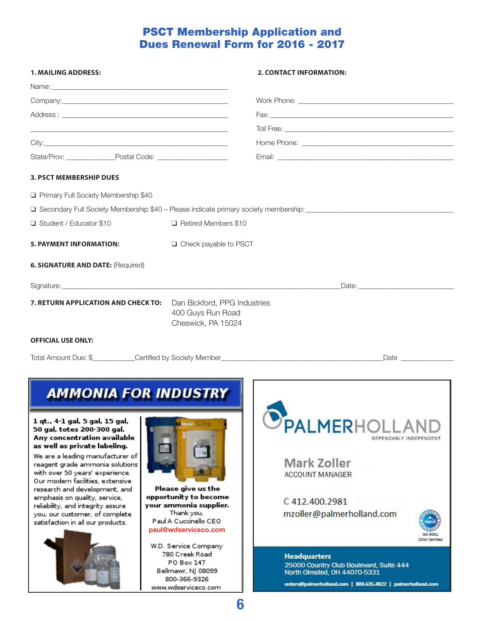### PSCT Membership Application and Dues Renewal Form for 2016 - 2017

| 1. MAILING ADDRESS:                                                                                                                                                                                                                               |                                                                                                                                                              | <b>2. CONTACT INFORMATION:</b>                                                                                                                                |
|---------------------------------------------------------------------------------------------------------------------------------------------------------------------------------------------------------------------------------------------------|--------------------------------------------------------------------------------------------------------------------------------------------------------------|---------------------------------------------------------------------------------------------------------------------------------------------------------------|
|                                                                                                                                                                                                                                                   |                                                                                                                                                              |                                                                                                                                                               |
|                                                                                                                                                                                                                                                   |                                                                                                                                                              |                                                                                                                                                               |
|                                                                                                                                                                                                                                                   |                                                                                                                                                              |                                                                                                                                                               |
|                                                                                                                                                                                                                                                   |                                                                                                                                                              |                                                                                                                                                               |
|                                                                                                                                                                                                                                                   |                                                                                                                                                              |                                                                                                                                                               |
| State/Prov: Postal Code:                                                                                                                                                                                                                          |                                                                                                                                                              |                                                                                                                                                               |
| <b>3. PSCT MEMBERSHIP DUES</b>                                                                                                                                                                                                                    |                                                                                                                                                              |                                                                                                                                                               |
| Primary Full Society Membership \$40                                                                                                                                                                                                              |                                                                                                                                                              |                                                                                                                                                               |
|                                                                                                                                                                                                                                                   |                                                                                                                                                              | □ Secondary Full Society Membership \$40 - Please indicate primary society membership: ________________________                                               |
| Student / Educator \$10                                                                                                                                                                                                                           | □ Retired Members \$10                                                                                                                                       |                                                                                                                                                               |
| <b>5. PAYMENT INFORMATION:</b>                                                                                                                                                                                                                    | □ Check payable to PSCT                                                                                                                                      |                                                                                                                                                               |
| <b>6. SIGNATURE AND DATE: (Required)</b>                                                                                                                                                                                                          |                                                                                                                                                              |                                                                                                                                                               |
|                                                                                                                                                                                                                                                   |                                                                                                                                                              | Date: Note: Note: Note: Note: Note: Note: Note: Note: Note: Note: Note: Note: Note: Note: Note: Note: Note: No                                                |
| 7. RETURN APPLICATION AND CHECK TO:                                                                                                                                                                                                               | Dan Bickford, PPG Industries<br>400 Guys Run Road<br>Cheswick, PA 15024                                                                                      |                                                                                                                                                               |
| <b>OFFICIAL USE ONLY:</b>                                                                                                                                                                                                                         |                                                                                                                                                              |                                                                                                                                                               |
|                                                                                                                                                                                                                                                   |                                                                                                                                                              | Total Amount Due: \$___________Certified by Society Member_______________________<br>Date <b>Date</b>                                                         |
| <b>AMMONIA FOR INDUSTRY</b><br>1 qt., 4-1 gal, 5 gal, 15 gal,                                                                                                                                                                                     |                                                                                                                                                              |                                                                                                                                                               |
| 50 gal, totes 200-300 gal.<br>Any concentration available<br>as well as private labeling.<br>We are a leading manufacturer of<br>reagent grade ammonia solutions                                                                                  |                                                                                                                                                              | <b>SPALMERHOLL</b><br>DEPENDABLY INDEPENDENT<br><b>Mark Zoller</b>                                                                                            |
| with over 50 years' experience.<br>Our modern facilities, extensive<br>research and development, and<br>emphasis on quality, service,<br>reliability, and integrity assure<br>you, our customer, of complete<br>satisfaction in all our products. | Please give us the<br>opportunity to become<br>your ammonia supplier.<br>Thank you,<br>Paul A Cuccinello CEO<br>paul@wdserviceco.com<br>W.D. Service Company | <b>ACCOUNT MANAGER</b><br>C412.400.2981<br>mzoller@palmerholland.com<br>2008 Certified                                                                        |
|                                                                                                                                                                                                                                                   | 780 Creek Road<br>PO Box 147<br>Bellmawr, NJ 08099<br>800-366-9326<br>www.wdserviceco.com                                                                    | <b>Headquarters</b><br>25000 Country Club Boulevard, Suite 444<br>North Olmsted, OH 44070-5331<br>orders@palmerholland.com   800.635.4822   palmerholland.com |